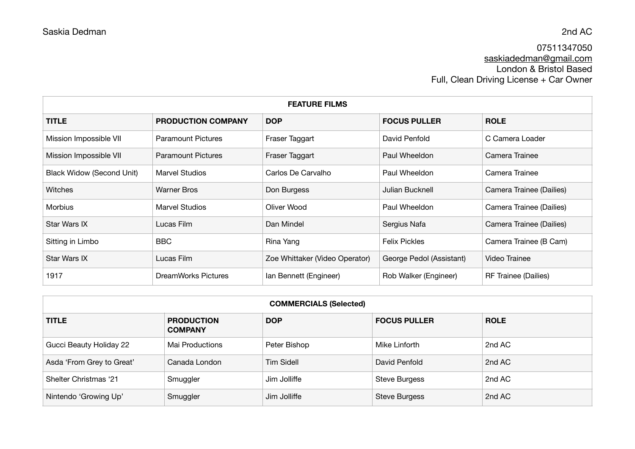## 07511347050 [saskiadedman@gmail.com](mailto:saskiadedman@gmail.com) London & Bristol Based Full, Clean Driving License + Car Owner

| <b>FEATURE FILMS</b>             |                           |                                |                          |                          |
|----------------------------------|---------------------------|--------------------------------|--------------------------|--------------------------|
| <b>TITLE</b>                     | <b>PRODUCTION COMPANY</b> | <b>DOP</b>                     | <b>FOCUS PULLER</b>      | <b>ROLE</b>              |
| Mission Impossible VII           | <b>Paramount Pictures</b> | Fraser Taggart                 | David Penfold            | C Camera Loader          |
| Mission Impossible VII           | <b>Paramount Pictures</b> | Fraser Taggart                 | Paul Wheeldon            | Camera Trainee           |
| <b>Black Widow (Second Unit)</b> | <b>Marvel Studios</b>     | Carlos De Carvalho             | Paul Wheeldon            | Camera Trainee           |
| <b>Witches</b>                   | <b>Warner Bros</b>        | Don Burgess                    | Julian Bucknell          | Camera Trainee (Dailies) |
| <b>Morbius</b>                   | Marvel Studios            | Oliver Wood                    | Paul Wheeldon            | Camera Trainee (Dailies) |
| Star Wars IX                     | Lucas Film                | Dan Mindel                     | Sergius Nafa             | Camera Trainee (Dailies) |
| Sitting in Limbo                 | <b>BBC</b>                | Rina Yang                      | <b>Felix Pickles</b>     | Camera Trainee (B Cam)   |
| Star Wars IX                     | Lucas Film                | Zoe Whittaker (Video Operator) | George Pedol (Assistant) | Video Trainee            |
| 1917                             | DreamWorks Pictures       | Ian Bennett (Engineer)         | Rob Walker (Engineer)    | RF Trainee (Dailies)     |

| <b>COMMERCIALS (Selected)</b> |                                     |                   |                      |             |
|-------------------------------|-------------------------------------|-------------------|----------------------|-------------|
| <b>TITLE</b>                  | <b>PRODUCTION</b><br><b>COMPANY</b> | <b>DOP</b>        | <b>FOCUS PULLER</b>  | <b>ROLE</b> |
| Gucci Beauty Holiday 22       | Mai Productions                     | Peter Bishop      | Mike Linforth        | 2nd AC      |
| Asda 'From Grey to Great'     | Canada London                       | <b>Tim Sidell</b> | David Penfold        | 2nd AC      |
| Shelter Christmas '21         | Smuggler                            | Jim Jolliffe      | <b>Steve Burgess</b> | 2nd AC      |
| Nintendo 'Growing Up'         | Smuggler                            | Jim Jolliffe      | <b>Steve Burgess</b> | 2nd AC      |